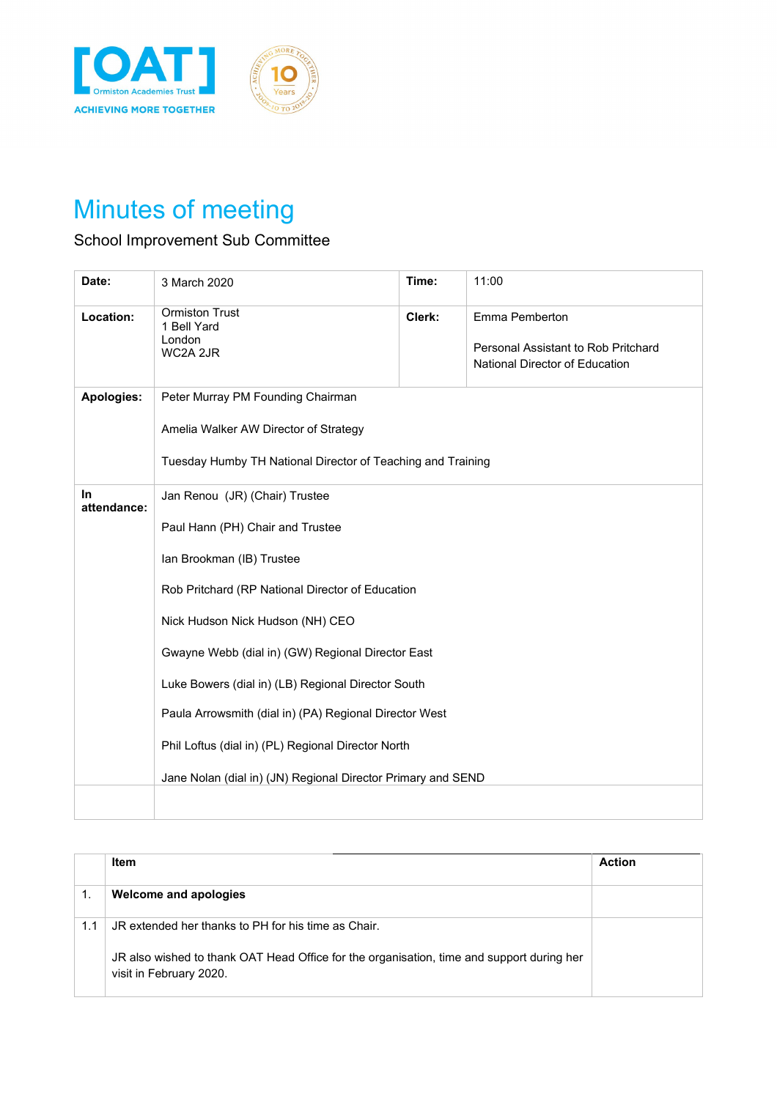

## Minutes of meeting

## School Improvement Sub Committee

| 3 March 2020                                                                                                                              | Time:  | 11:00                                                                                                                                                                                                                                                                                                                                       |
|-------------------------------------------------------------------------------------------------------------------------------------------|--------|---------------------------------------------------------------------------------------------------------------------------------------------------------------------------------------------------------------------------------------------------------------------------------------------------------------------------------------------|
| <b>Ormiston Trust</b><br>1 Bell Yard<br>London<br>WC2A 2JR                                                                                | Clerk: | Emma Pemberton<br>Personal Assistant to Rob Pritchard<br>National Director of Education                                                                                                                                                                                                                                                     |
| Peter Murray PM Founding Chairman<br>Amelia Walker AW Director of Strategy<br>Tuesday Humby TH National Director of Teaching and Training |        |                                                                                                                                                                                                                                                                                                                                             |
| Jan Renou (JR) (Chair) Trustee<br>Paul Hann (PH) Chair and Trustee<br>Ian Brookman (IB) Trustee<br>Nick Hudson Nick Hudson (NH) CEO       |        |                                                                                                                                                                                                                                                                                                                                             |
|                                                                                                                                           |        | Rob Pritchard (RP National Director of Education<br>Gwayne Webb (dial in) (GW) Regional Director East<br>Luke Bowers (dial in) (LB) Regional Director South<br>Paula Arrowsmith (dial in) (PA) Regional Director West<br>Phil Loftus (dial in) (PL) Regional Director North<br>Jane Nolan (dial in) (JN) Regional Director Primary and SEND |

|     | <b>Item</b>                                                                                                          | <b>Action</b> |
|-----|----------------------------------------------------------------------------------------------------------------------|---------------|
|     | Welcome and apologies                                                                                                |               |
| 1.1 | JR extended her thanks to PH for his time as Chair.                                                                  |               |
|     | JR also wished to thank OAT Head Office for the organisation, time and support during her<br>visit in February 2020. |               |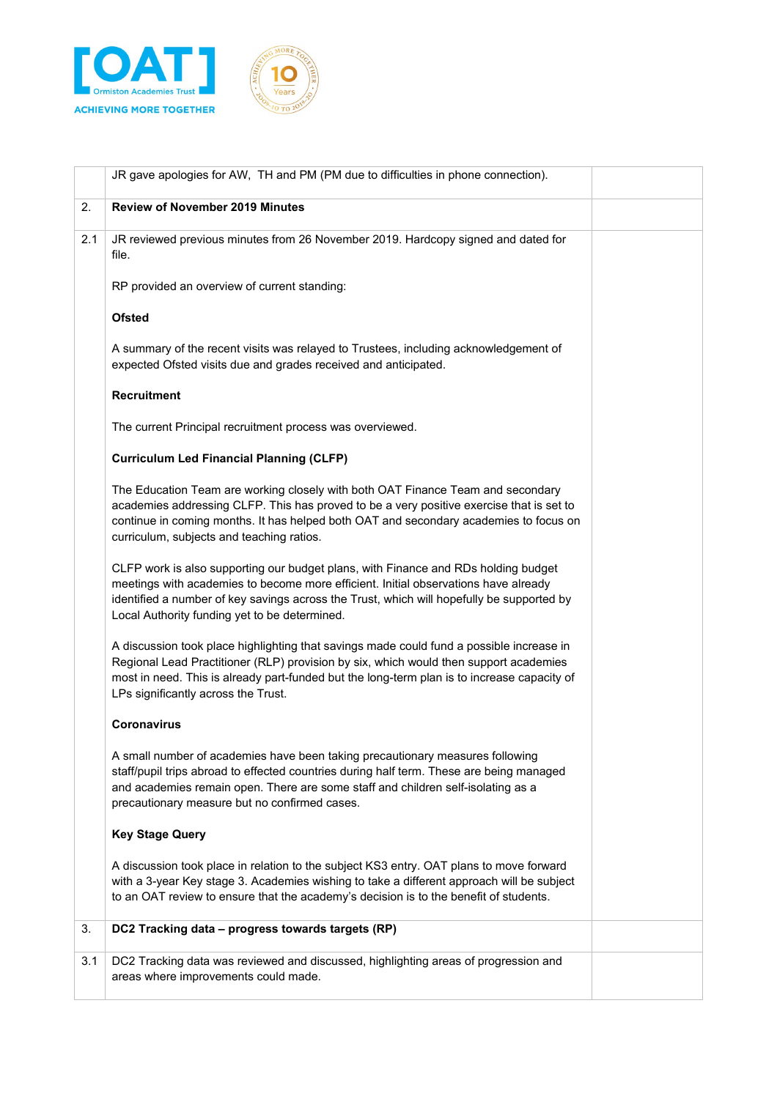



|     | JR gave apologies for AW, TH and PM (PM due to difficulties in phone connection).                                                                                                                                                                                                                                       |  |
|-----|-------------------------------------------------------------------------------------------------------------------------------------------------------------------------------------------------------------------------------------------------------------------------------------------------------------------------|--|
| 2.  | <b>Review of November 2019 Minutes</b>                                                                                                                                                                                                                                                                                  |  |
| 2.1 | JR reviewed previous minutes from 26 November 2019. Hardcopy signed and dated for<br>file.                                                                                                                                                                                                                              |  |
|     | RP provided an overview of current standing:                                                                                                                                                                                                                                                                            |  |
|     | <b>Ofsted</b>                                                                                                                                                                                                                                                                                                           |  |
|     | A summary of the recent visits was relayed to Trustees, including acknowledgement of<br>expected Ofsted visits due and grades received and anticipated.                                                                                                                                                                 |  |
|     | <b>Recruitment</b>                                                                                                                                                                                                                                                                                                      |  |
|     | The current Principal recruitment process was overviewed.                                                                                                                                                                                                                                                               |  |
|     | <b>Curriculum Led Financial Planning (CLFP)</b>                                                                                                                                                                                                                                                                         |  |
|     | The Education Team are working closely with both OAT Finance Team and secondary<br>academies addressing CLFP. This has proved to be a very positive exercise that is set to<br>continue in coming months. It has helped both OAT and secondary academies to focus on<br>curriculum, subjects and teaching ratios.       |  |
|     | CLFP work is also supporting our budget plans, with Finance and RDs holding budget<br>meetings with academies to become more efficient. Initial observations have already<br>identified a number of key savings across the Trust, which will hopefully be supported by<br>Local Authority funding yet to be determined. |  |
|     | A discussion took place highlighting that savings made could fund a possible increase in<br>Regional Lead Practitioner (RLP) provision by six, which would then support academies<br>most in need. This is already part-funded but the long-term plan is to increase capacity of<br>LPs significantly across the Trust. |  |
|     | <b>Coronavirus</b>                                                                                                                                                                                                                                                                                                      |  |
|     | A small number of academies have been taking precautionary measures following<br>staff/pupil trips abroad to effected countries during half term. These are being managed<br>and academies remain open. There are some staff and children self-isolating as a<br>precautionary measure but no confirmed cases.          |  |
|     | <b>Key Stage Query</b>                                                                                                                                                                                                                                                                                                  |  |
|     | A discussion took place in relation to the subject KS3 entry. OAT plans to move forward<br>with a 3-year Key stage 3. Academies wishing to take a different approach will be subject<br>to an OAT review to ensure that the academy's decision is to the benefit of students.                                           |  |
| 3.  | DC2 Tracking data - progress towards targets (RP)                                                                                                                                                                                                                                                                       |  |
| 3.1 | DC2 Tracking data was reviewed and discussed, highlighting areas of progression and<br>areas where improvements could made.                                                                                                                                                                                             |  |